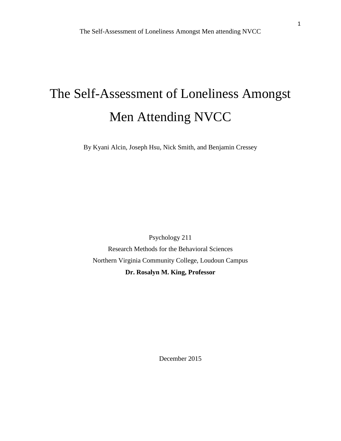# The Self-Assessment of Loneliness Amongst Men Attending NVCC

By Kyani Alcin, Joseph Hsu, Nick Smith, and Benjamin Cressey

Psychology 211 Research Methods for the Behavioral Sciences Northern Virginia Community College, Loudoun Campus **Dr. Rosalyn M. King, Professor** 

December 2015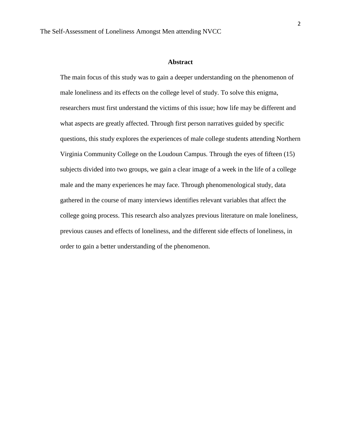#### **Abstract**

The main focus of this study was to gain a deeper understanding on the phenomenon of male loneliness and its effects on the college level of study. To solve this enigma, researchers must first understand the victims of this issue; how life may be different and what aspects are greatly affected. Through first person narratives guided by specific questions, this study explores the experiences of male college students attending Northern Virginia Community College on the Loudoun Campus. Through the eyes of fifteen (15) subjects divided into two groups, we gain a clear image of a week in the life of a college male and the many experiences he may face. Through phenomenological study, data gathered in the course of many interviews identifies relevant variables that affect the college going process. This research also analyzes previous literature on male loneliness, previous causes and effects of loneliness, and the different side effects of loneliness, in order to gain a better understanding of the phenomenon.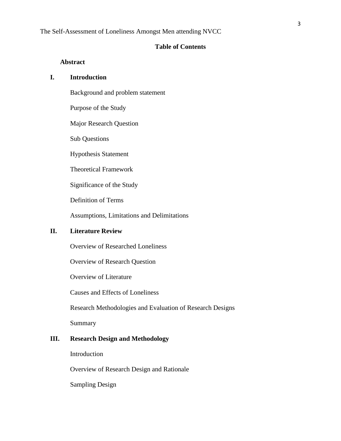#### **Table of Contents**

#### **Abstract**

## **I. Introduction**

Background and problem statement

Purpose of the Study

Major Research Question

Sub Questions

Hypothesis Statement

Theoretical Framework

Significance of the Study

Definition of Terms

Assumptions, Limitations and Delimitations

## **II. Literature Review**

Overview of Researched Loneliness

Overview of Research Question

Overview of Literature

Causes and Effects of Loneliness

Research Methodologies and Evaluation of Research Designs

Summary

## **III. Research Design and Methodology**

Introduction

Overview of Research Design and Rationale

Sampling Design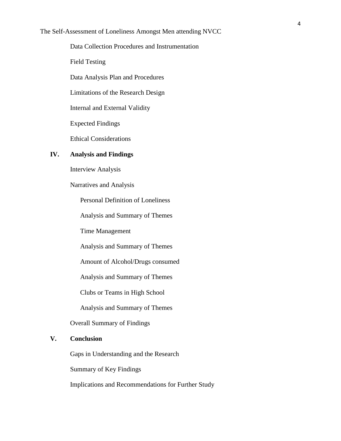Data Collection Procedures and Instrumentation

Field Testing

Data Analysis Plan and Procedures

Limitations of the Research Design

Internal and External Validity

Expected Findings

Ethical Considerations

## **IV. Analysis and Findings**

Interview Analysis

Narratives and Analysis

Personal Definition of Loneliness

Analysis and Summary of Themes

Time Management

Analysis and Summary of Themes

Amount of Alcohol/Drugs consumed

Analysis and Summary of Themes

Clubs or Teams in High School

Analysis and Summary of Themes

Overall Summary of Findings

### **V. Conclusion**

Gaps in Understanding and the Research

Summary of Key Findings

Implications and Recommendations for Further Study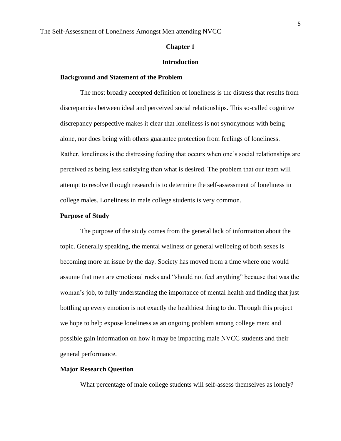#### **Chapter 1**

#### **Introduction**

#### **Background and Statement of the Problem**

The most broadly accepted definition of loneliness is the distress that results from discrepancies between ideal and perceived social relationships. This so-called cognitive discrepancy perspective makes it clear that loneliness is not synonymous with being alone, nor does being with others guarantee protection from feelings of loneliness. Rather, loneliness is the distressing feeling that occurs when one's social relationships are perceived as being less satisfying than what is desired. The problem that our team will attempt to resolve through research is to determine the self-assessment of loneliness in college males. Loneliness in male college students is very common.

## **Purpose of Study**

The purpose of the study comes from the general lack of information about the topic. Generally speaking, the mental wellness or general wellbeing of both sexes is becoming more an issue by the day. Society has moved from a time where one would assume that men are emotional rocks and "should not feel anything" because that was the woman's job, to fully understanding the importance of mental health and finding that just bottling up every emotion is not exactly the healthiest thing to do. Through this project we hope to help expose loneliness as an ongoing problem among college men; and possible gain information on how it may be impacting male NVCC students and their general performance.

#### **Major Research Question**

What percentage of male college students will self-assess themselves as lonely?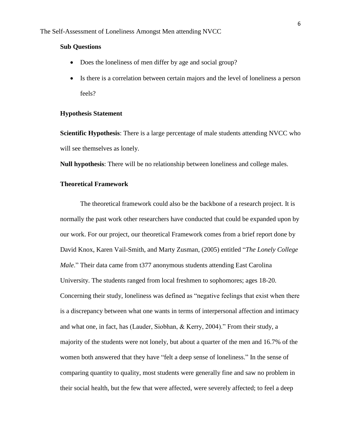#### **Sub Questions**

- Does the loneliness of men differ by age and social group?
- Is there is a correlation between certain majors and the level of loneliness a person feels?

#### **Hypothesis Statement**

**Scientific Hypothesis**: There is a large percentage of male students attending NVCC who will see themselves as lonely.

**Null hypothesis**: There will be no relationship between loneliness and college males.

## **Theoretical Framework**

The theoretical framework could also be the backbone of a research project. It is normally the past work other researchers have conducted that could be expanded upon by our work. For our project, our theoretical Framework comes from a brief report done by David Knox, Karen Vail-Smith, and Marty Zusman, (2005) entitled "*The Lonely College Male*." Their data came from t377 anonymous students attending East Carolina University. The students ranged from local freshmen to sophomores; ages 18-20. Concerning their study, loneliness was defined as "negative feelings that exist when there is a discrepancy between what one wants in terms of interpersonal affection and intimacy and what one, in fact, has (Lauder, Siobhan, & Kerry, 2004)." From their study, a majority of the students were not lonely, but about a quarter of the men and 16.7% of the women both answered that they have "felt a deep sense of loneliness." In the sense of comparing quantity to quality, most students were generally fine and saw no problem in their social health, but the few that were affected, were severely affected; to feel a deep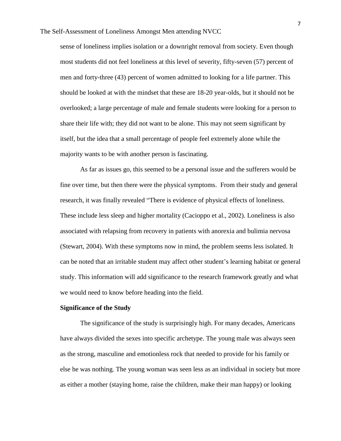sense of loneliness implies isolation or a downright removal from society. Even though most students did not feel loneliness at this level of severity, fifty-seven (57) percent of men and forty-three (43) percent of women admitted to looking for a life partner. This should be looked at with the mindset that these are 18-20 year-olds, but it should not be overlooked; a large percentage of male and female students were looking for a person to share their life with; they did not want to be alone. This may not seem significant by itself, but the idea that a small percentage of people feel extremely alone while the majority wants to be with another person is fascinating.

As far as issues go, this seemed to be a personal issue and the sufferers would be fine over time, but then there were the physical symptoms. From their study and general research, it was finally revealed "There is evidence of physical effects of loneliness. These include less sleep and higher mortality (Cacioppo et al., 2002). Loneliness is also associated with relapsing from recovery in patients with anorexia and bulimia nervosa (Stewart, 2004). With these symptoms now in mind, the problem seems less isolated. It can be noted that an irritable student may affect other student's learning habitat or general study. This information will add significance to the research framework greatly and what we would need to know before heading into the field.

## **Significance of the Study**

The significance of the study is surprisingly high. For many decades, Americans have always divided the sexes into specific archetype. The young male was always seen as the strong, masculine and emotionless rock that needed to provide for his family or else he was nothing. The young woman was seen less as an individual in society but more as either a mother (staying home, raise the children, make their man happy) or looking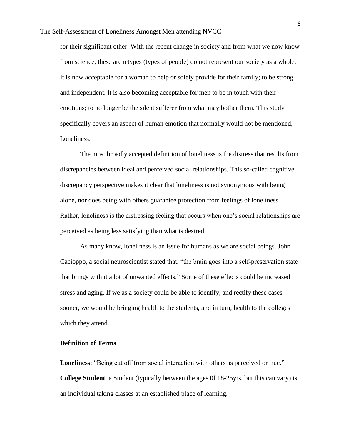for their significant other. With the recent change in society and from what we now know from science, these archetypes (types of people) do not represent our society as a whole. It is now acceptable for a woman to help or solely provide for their family; to be strong and independent. It is also becoming acceptable for men to be in touch with their emotions; to no longer be the silent sufferer from what may bother them. This study specifically covers an aspect of human emotion that normally would not be mentioned, Loneliness.

The most broadly accepted definition of loneliness is the distress that results from discrepancies between ideal and perceived social relationships. This so-called cognitive discrepancy perspective makes it clear that loneliness is not synonymous with being alone, nor does being with others guarantee protection from feelings of loneliness. Rather, loneliness is the distressing feeling that occurs when one's social relationships are perceived as being less satisfying than what is desired.

As many know, loneliness is an issue for humans as we are social beings. John Cacioppo, a social neuroscientist stated that, "the brain goes into a self-preservation state that brings with it a lot of unwanted effects." Some of these effects could be increased stress and aging. If we as a society could be able to identify, and rectify these cases sooner, we would be bringing health to the students, and in turn, health to the colleges which they attend.

## **Definition of Terms**

**Loneliness**: "Being cut off from social interaction with others as perceived or true." **College Student**: a Student (typically between the ages 0f 18-25yrs, but this can vary) is an individual taking classes at an established place of learning.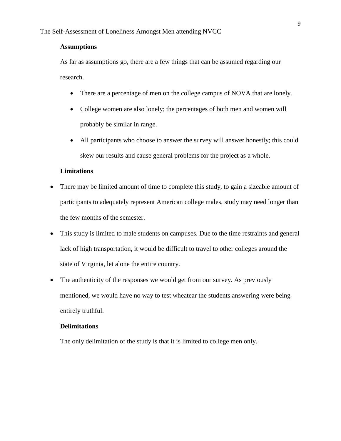#### **Assumptions**

As far as assumptions go, there are a few things that can be assumed regarding our research.

- There are a percentage of men on the college campus of NOVA that are lonely.
- College women are also lonely; the percentages of both men and women will probably be similar in range.
- All participants who choose to answer the survey will answer honestly; this could skew our results and cause general problems for the project as a whole.

## **Limitations**

- There may be limited amount of time to complete this study, to gain a sizeable amount of participants to adequately represent American college males, study may need longer than the few months of the semester.
- This study is limited to male students on campuses. Due to the time restraints and general lack of high transportation, it would be difficult to travel to other colleges around the state of Virginia, let alone the entire country.
- The authenticity of the responses we would get from our survey. As previously mentioned, we would have no way to test wheatear the students answering were being entirely truthful.

#### **Delimitations**

The only delimitation of the study is that it is limited to college men only.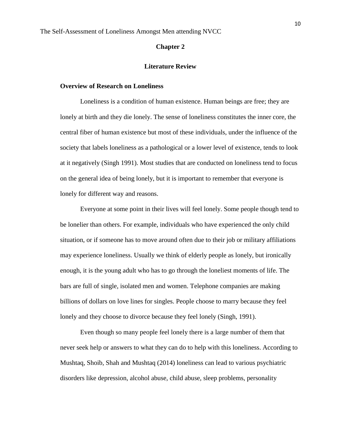#### **Chapter 2**

#### **Literature Review**

#### **Overview of Research on Loneliness**

Loneliness is a condition of human existence. Human beings are free; they are lonely at birth and they die lonely. The sense of loneliness constitutes the inner core, the central fiber of human existence but most of these individuals, under the influence of the society that labels loneliness as a pathological or a lower level of existence, tends to look at it negatively (Singh 1991). Most studies that are conducted on loneliness tend to focus on the general idea of being lonely, but it is important to remember that everyone is lonely for different way and reasons.

Everyone at some point in their lives will feel lonely. Some people though tend to be lonelier than others. For example, individuals who have experienced the only child situation, or if someone has to move around often due to their job or military affiliations may experience loneliness. Usually we think of elderly people as lonely, but ironically enough, it is the young adult who has to go through the loneliest moments of life. The bars are full of single, isolated men and women. Telephone companies are making billions of dollars on love lines for singles. People choose to marry because they feel lonely and they choose to divorce because they feel lonely (Singh, 1991).

Even though so many people feel lonely there is a large number of them that never seek help or answers to what they can do to help with this loneliness. According to Mushtaq, Shoib, Shah and Mushtaq (2014) loneliness can lead to various psychiatric disorders like depression, alcohol abuse, child abuse, sleep problems, personality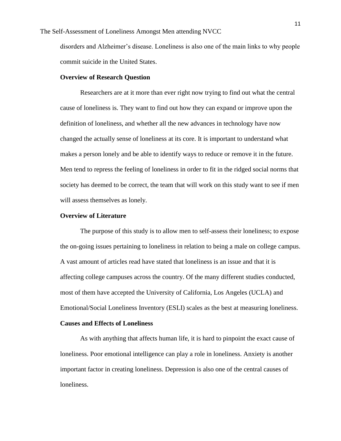disorders and Alzheimer's disease. Loneliness is also one of the main links to why people commit suicide in the United States.

#### **Overview of Research Question**

Researchers are at it more than ever right now trying to find out what the central cause of loneliness is. They want to find out how they can expand or improve upon the definition of loneliness, and whether all the new advances in technology have now changed the actually sense of loneliness at its core. It is important to understand what makes a person lonely and be able to identify ways to reduce or remove it in the future. Men tend to repress the feeling of loneliness in order to fit in the ridged social norms that society has deemed to be correct, the team that will work on this study want to see if men will assess themselves as lonely.

## **Overview of Literature**

The purpose of this study is to allow men to self-assess their loneliness; to expose the on-going issues pertaining to loneliness in relation to being a male on college campus. A vast amount of articles read have stated that loneliness is an issue and that it is affecting college campuses across the country. Of the many different studies conducted, most of them have accepted the University of California, Los Angeles (UCLA) and Emotional/Social Loneliness Inventory (ESLI) scales as the best at measuring loneliness.

#### **Causes and Effects of Loneliness**

As with anything that affects human life, it is hard to pinpoint the exact cause of loneliness. Poor emotional intelligence can play a role in loneliness. Anxiety is another important factor in creating loneliness. Depression is also one of the central causes of loneliness.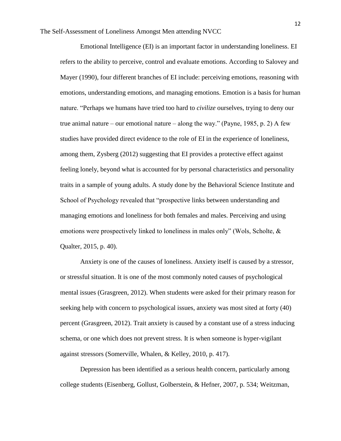The Self-Assessment of Loneliness Amongst Men attending NVCC

Emotional Intelligence (EI) is an important factor in understanding loneliness. EI refers to the ability to perceive, control and evaluate emotions. According to Salovey and Mayer (1990), four different branches of EI include: perceiving emotions, reasoning with emotions, understanding emotions, and managing emotions. Emotion is a basis for human nature. "Perhaps we humans have tried too hard to *civilize* ourselves, trying to deny our true animal nature – our emotional nature – along the way." (Payne, 1985, p. 2) A few studies have provided direct evidence to the role of EI in the experience of loneliness, among them, Zysberg (2012) suggesting that EI provides a protective effect against feeling lonely, beyond what is accounted for by personal characteristics and personality traits in a sample of young adults. A study done by the Behavioral Science Institute and School of Psychology revealed that "prospective links between understanding and managing emotions and loneliness for both females and males. Perceiving and using emotions were prospectively linked to loneliness in males only" (Wols, Scholte, & Qualter, 2015, p. 40).

Anxiety is one of the causes of loneliness. Anxiety itself is caused by a stressor, or stressful situation. It is one of the most commonly noted causes of psychological mental issues (Grasgreen, 2012). When students were asked for their primary reason for seeking help with concern to psychological issues, anxiety was most sited at forty (40) percent (Grasgreen, 2012). Trait anxiety is caused by a constant use of a stress inducing schema, or one which does not prevent stress. It is when someone is hyper-vigilant against stressors (Somerville, Whalen, & Kelley, 2010, p. 417).

Depression has been identified as a serious health concern, particularly among college students (Eisenberg, Gollust, Golberstein, & Hefner, 2007, p. 534; Weitzman,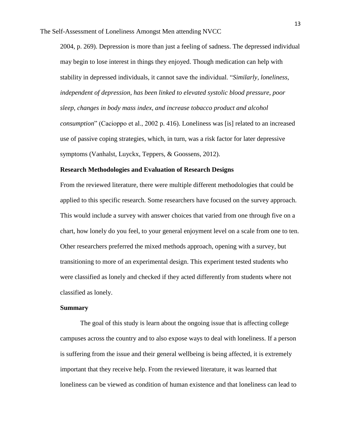2004, p. 269). Depression is more than just a feeling of sadness. The depressed individual may begin to lose interest in things they enjoyed. Though medication can help with stability in depressed individuals, it cannot save the individual. "*Similarly, loneliness, independent of depression, has been linked to elevated systolic blood pressure, poor sleep, changes in body mass index, and increase tobacco product and alcohol consumption*" (Cacioppo et al., 2002 p. 416). Loneliness was [is] related to an increased use of passive coping strategies, which, in turn, was a risk factor for later depressive symptoms (Vanhalst, Luyckx, Teppers, & Goossens, 2012).

#### **Research Methodologies and Evaluation of Research Designs**

From the reviewed literature, there were multiple different methodologies that could be applied to this specific research. Some researchers have focused on the survey approach. This would include a survey with answer choices that varied from one through five on a chart, how lonely do you feel, to your general enjoyment level on a scale from one to ten. Other researchers preferred the mixed methods approach, opening with a survey, but transitioning to more of an experimental design. This experiment tested students who were classified as lonely and checked if they acted differently from students where not classified as lonely.

#### **Summary**

The goal of this study is learn about the ongoing issue that is affecting college campuses across the country and to also expose ways to deal with loneliness. If a person is suffering from the issue and their general wellbeing is being affected, it is extremely important that they receive help. From the reviewed literature, it was learned that loneliness can be viewed as condition of human existence and that loneliness can lead to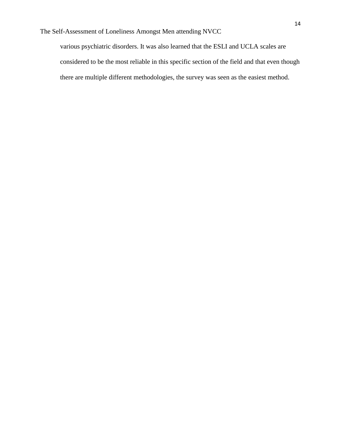various psychiatric disorders. It was also learned that the ESLI and UCLA scales are considered to be the most reliable in this specific section of the field and that even though there are multiple different methodologies, the survey was seen as the easiest method.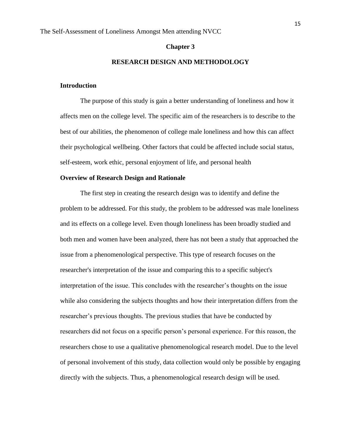#### **Chapter 3**

#### **RESEARCH DESIGN AND METHODOLOGY**

#### **Introduction**

The purpose of this study is gain a better understanding of loneliness and how it affects men on the college level. The specific aim of the researchers is to describe to the best of our abilities, the phenomenon of college male loneliness and how this can affect their psychological wellbeing. Other factors that could be affected include social status, self-esteem, work ethic, personal enjoyment of life, and personal health

#### **Overview of Research Design and Rationale**

The first step in creating the research design was to identify and define the problem to be addressed. For this study, the problem to be addressed was male loneliness and its effects on a college level. Even though loneliness has been broadly studied and both men and women have been analyzed, there has not been a study that approached the issue from a phenomenological perspective. This type of research focuses on the researcher's interpretation of the issue and comparing this to a specific subject's interpretation of the issue. This concludes with the researcher's thoughts on the issue while also considering the subjects thoughts and how their interpretation differs from the researcher's previous thoughts. The previous studies that have be conducted by researchers did not focus on a specific person's personal experience. For this reason, the researchers chose to use a qualitative phenomenological research model. Due to the level of personal involvement of this study, data collection would only be possible by engaging directly with the subjects. Thus, a phenomenological research design will be used.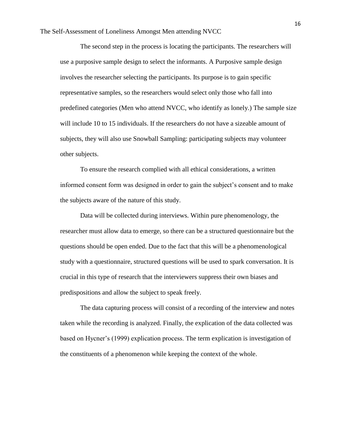The Self-Assessment of Loneliness Amongst Men attending NVCC

The second step in the process is locating the participants. The researchers will use a purposive sample design to select the informants. A Purposive sample design involves the researcher selecting the participants. Its purpose is to gain specific representative samples, so the researchers would select only those who fall into predefined categories (Men who attend NVCC, who identify as lonely.) The sample size will include 10 to 15 individuals. If the researchers do not have a sizeable amount of subjects, they will also use Snowball Sampling: participating subjects may volunteer other subjects.

To ensure the research complied with all ethical considerations, a written informed consent form was designed in order to gain the subject's consent and to make the subjects aware of the nature of this study.

Data will be collected during interviews. Within pure phenomenology, the researcher must allow data to emerge, so there can be a structured questionnaire but the questions should be open ended. Due to the fact that this will be a phenomenological study with a questionnaire, structured questions will be used to spark conversation. It is crucial in this type of research that the interviewers suppress their own biases and predispositions and allow the subject to speak freely.

The data capturing process will consist of a recording of the interview and notes taken while the recording is analyzed. Finally, the explication of the data collected was based on Hycner's (1999) explication process. The term explication is investigation of the constituents of a phenomenon while keeping the context of the whole.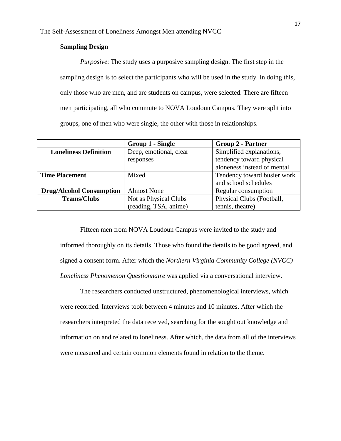## **Sampling Design**

*Purposive*: The study uses a purposive sampling design. The first step in the sampling design is to select the participants who will be used in the study. In doing this, only those who are men, and are students on campus, were selected. There are fifteen men participating, all who commute to NOVA Loudoun Campus. They were split into groups, one of men who were single, the other with those in relationships.

|                                 | Group 1 - Single       | <b>Group 2 - Partner</b>    |
|---------------------------------|------------------------|-----------------------------|
| <b>Loneliness Definition</b>    | Deep, emotional, clear | Simplified explanations,    |
|                                 | responses              | tendency toward physical    |
|                                 |                        | aloneness instead of mental |
| <b>Time Placement</b>           | Mixed                  | Tendency toward busier work |
|                                 |                        | and school schedules        |
| <b>Drug/Alcohol Consumption</b> | <b>Almost None</b>     | Regular consumption         |
| <b>Teams/Clubs</b>              | Not as Physical Clubs  | Physical Clubs (Football,   |
|                                 | (reading, TSA, anime)  | tennis, theatre)            |

Fifteen men from NOVA Loudoun Campus were invited to the study and informed thoroughly on its details. Those who found the details to be good agreed, and signed a consent form. After which the *Northern Virginia Community College (NVCC) Loneliness Phenomenon Questionnaire* was applied via a conversational interview.

The researchers conducted unstructured, phenomenological interviews, which were recorded. Interviews took between 4 minutes and 10 minutes. After which the researchers interpreted the data received, searching for the sought out knowledge and information on and related to loneliness. After which, the data from all of the interviews were measured and certain common elements found in relation to the theme.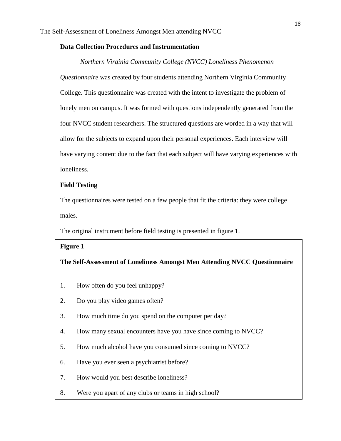## **Data Collection Procedures and Instrumentation**

#### *Northern Virginia Community College (NVCC) Loneliness Phenomenon*

*Questionnaire* was created by four students attending Northern Virginia Community College. This questionnaire was created with the intent to investigate the problem of lonely men on campus. It was formed with questions independently generated from the four NVCC student researchers. The structured questions are worded in a way that will allow for the subjects to expand upon their personal experiences. Each interview will have varying content due to the fact that each subject will have varying experiences with loneliness.

#### **Field Testing**

The questionnaires were tested on a few people that fit the criteria: they were college males.

The original instrument before field testing is presented in figure 1.

#### **Figure 1**

#### **The Self-Assessment of Loneliness Amongst Men Attending NVCC Questionnaire**

- 1. How often do you feel unhappy?
- 2. Do you play video games often?
- 3. How much time do you spend on the computer per day?
- 4. How many sexual encounters have you have since coming to NVCC?
- 5. How much alcohol have you consumed since coming to NVCC?
- 6. Have you ever seen a psychiatrist before?
- 7. How would you best describe loneliness?
- 8. Were you apart of any clubs or teams in high school?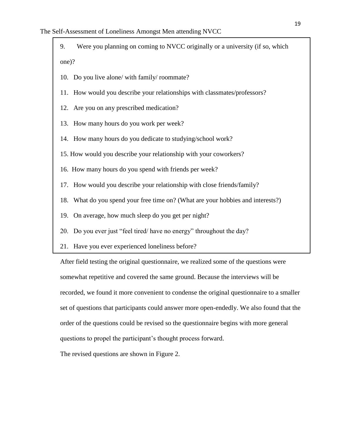- 9. Were you planning on coming to NVCC originally or a university (if so, which one)?
- 10. Do you live alone/ with family/ roommate?
- 11. How would you describe your relationships with classmates/professors?
- 12. Are you on any prescribed medication?
- 13. How many hours do you work per week?
- 14. How many hours do you dedicate to studying/school work?
- 15. How would you describe your relationship with your coworkers?
- 16. How many hours do you spend with friends per week?
- 17. How would you describe your relationship with close friends/family?
- 18. What do you spend your free time on? (What are your hobbies and interests?)
- 19. On average, how much sleep do you get per night?
- 20. Do you ever just "feel tired/ have no energy" throughout the day?
- 21. Have you ever experienced loneliness before?

After field testing the original questionnaire, we realized some of the questions were somewhat repetitive and covered the same ground. Because the interviews will be recorded, we found it more convenient to condense the original questionnaire to a smaller set of questions that participants could answer more open-endedly. We also found that the order of the questions could be revised so the questionnaire begins with more general questions to propel the participant's thought process forward.

The revised questions are shown in Figure 2.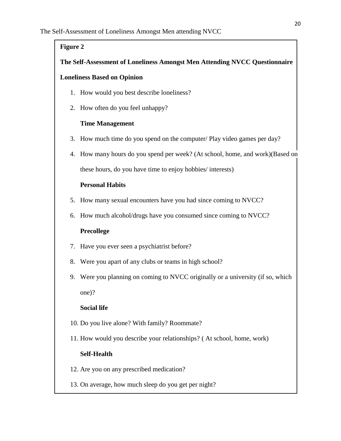## **Figure 2**

## **The Self-Assessment of Loneliness Amongst Men Attending NVCC Questionnaire**

## **Loneliness Based on Opinion**

- 1. How would you best describe loneliness?
- 2. How often do you feel unhappy?

## **Time Management**

- 3. How much time do you spend on the computer/ Play video games per day?
- 4. How many hours do you spend per week? (At school, home, and work)(Based on these hours, do you have time to enjoy hobbies/ interests)

## **Personal Habits**

- 5. How many sexual encounters have you had since coming to NVCC?
- 6. How much alcohol/drugs have you consumed since coming to NVCC?

## **Precollege**

- 7. Have you ever seen a psychiatrist before?
- 8. Were you apart of any clubs or teams in high school?
- 9. Were you planning on coming to NVCC originally or a university (if so, which one)?

## **Social life**

- 10. Do you live alone? With family? Roommate?
- 11. How would you describe your relationships? ( At school, home, work)

## **Self-Health**

- 12. Are you on any prescribed medication?
- 13. On average, how much sleep do you get per night?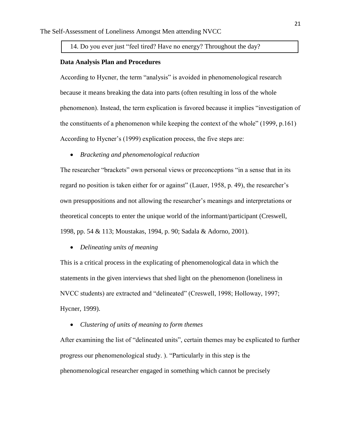## 14. Do you ever just "feel tired? Have no energy? Throughout the day?

#### **Data Analysis Plan and Procedures**

According to Hycner, the term "analysis" is avoided in phenomenological research because it means breaking the data into parts (often resulting in loss of the whole phenomenon). Instead, the term explication is favored because it implies "investigation of the constituents of a phenomenon while keeping the context of the whole" (1999, p.161) According to Hycner's (1999) explication process, the five steps are:

*Bracketing and phenomenological reduction*

The researcher "brackets" own personal views or preconceptions "in a sense that in its regard no position is taken either for or against" (Lauer, 1958, p. 49), the researcher's own presuppositions and not allowing the researcher's meanings and interpretations or theoretical concepts to enter the unique world of the informant/participant (Creswell, 1998, pp. 54 & 113; Moustakas, 1994, p. 90; Sadala & Adorno, 2001).

*Delineating units of meaning*

This is a critical process in the explicating of phenomenological data in which the statements in the given interviews that shed light on the phenomenon (loneliness in NVCC students) are extracted and "delineated" (Creswell, 1998; Holloway, 1997; Hycner, 1999).

*Clustering of units of meaning to form themes*

After examining the list of "delineated units", certain themes may be explicated to further progress our phenomenological study. ). "Particularly in this step is the phenomenological researcher engaged in something which cannot be precisely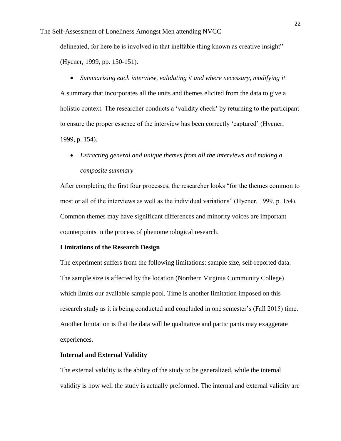delineated, for here he is involved in that ineffable thing known as creative insight" (Hycner, 1999, pp. 150-151).

*Summarizing each interview, validating it and where necessary, modifying it*

A summary that incorporates all the units and themes elicited from the data to give a holistic context. The researcher conducts a 'validity check' by returning to the participant to ensure the proper essence of the interview has been correctly 'captured' (Hycner, 1999, p. 154).

 *Extracting general and unique themes from all the interviews and making a composite summary*

After completing the first four processes, the researcher looks "for the themes common to most or all of the interviews as well as the individual variations" (Hycner, 1999, p. 154). Common themes may have significant differences and minority voices are important counterpoints in the process of phenomenological research.

#### **Limitations of the Research Design**

The experiment suffers from the following limitations: sample size, self-reported data. The sample size is affected by the location (Northern Virginia Community College) which limits our available sample pool. Time is another limitation imposed on this research study as it is being conducted and concluded in one semester's (Fall 2015) time. Another limitation is that the data will be qualitative and participants may exaggerate experiences.

#### **Internal and External Validity**

The external validity is the ability of the study to be generalized, while the internal validity is how well the study is actually preformed. The internal and external validity are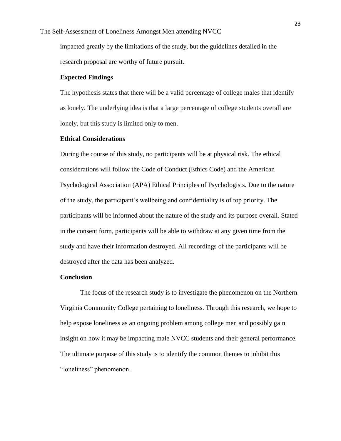impacted greatly by the limitations of the study, but the guidelines detailed in the research proposal are worthy of future pursuit.

## **Expected Findings**

The hypothesis states that there will be a valid percentage of college males that identify as lonely. The underlying idea is that a large percentage of college students overall are lonely, but this study is limited only to men.

## **Ethical Considerations**

During the course of this study, no participants will be at physical risk. The ethical considerations will follow the Code of Conduct (Ethics Code) and the American Psychological Association (APA) Ethical Principles of Psychologists. Due to the nature of the study, the participant's wellbeing and confidentiality is of top priority. The participants will be informed about the nature of the study and its purpose overall. Stated in the consent form, participants will be able to withdraw at any given time from the study and have their information destroyed. All recordings of the participants will be destroyed after the data has been analyzed.

#### **Conclusion**

The focus of the research study is to investigate the phenomenon on the Northern Virginia Community College pertaining to loneliness. Through this research, we hope to help expose loneliness as an ongoing problem among college men and possibly gain insight on how it may be impacting male NVCC students and their general performance. The ultimate purpose of this study is to identify the common themes to inhibit this "loneliness" phenomenon.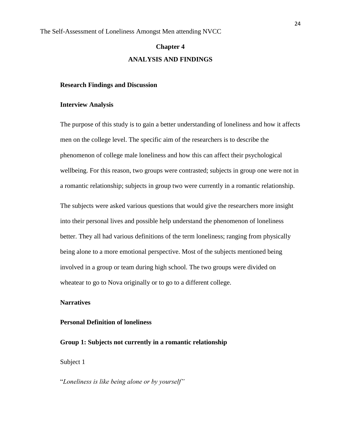## **Chapter 4 ANALYSIS AND FINDINGS**

#### **Research Findings and Discussion**

#### **Interview Analysis**

The purpose of this study is to gain a better understanding of loneliness and how it affects men on the college level. The specific aim of the researchers is to describe the phenomenon of college male loneliness and how this can affect their psychological wellbeing. For this reason, two groups were contrasted; subjects in group one were not in a romantic relationship; subjects in group two were currently in a romantic relationship.

The subjects were asked various questions that would give the researchers more insight into their personal lives and possible help understand the phenomenon of loneliness better. They all had various definitions of the term loneliness; ranging from physically being alone to a more emotional perspective. Most of the subjects mentioned being involved in a group or team during high school. The two groups were divided on wheatear to go to Nova originally or to go to a different college.

#### **Narratives**

#### **Personal Definition of loneliness**

**Group 1: Subjects not currently in a romantic relationship** 

Subject 1

"*Loneliness is like being alone or by yourself"*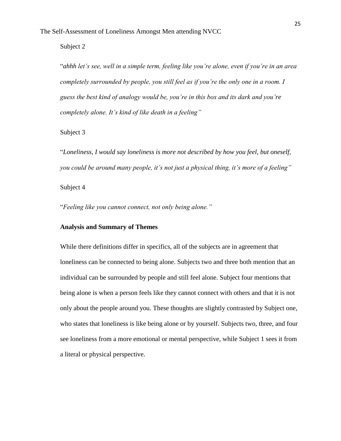Subject 2

"*ahhh let's see, well in a simple term, feeling like you're alone, even if you're in an area completely surrounded by people, you still feel as if you're the only one in a room. I guess the best kind of analogy would be, you're in this box and its dark and you're completely alone. It's kind of like death in a feeling"*

Subject 3

"*Loneliness, I would say loneliness is more not described by how you feel, but oneself, you could be around many people, it's not just a physical thing, it's more of a feeling"* Subject 4

"*Feeling like you cannot connect, not only being alone."*

## **Analysis and Summary of Themes**

While there definitions differ in specifics, all of the subjects are in agreement that loneliness can be connected to being alone. Subjects two and three both mention that an individual can be surrounded by people and still feel alone. Subject four mentions that being alone is when a person feels like they cannot connect with others and that it is not only about the people around you. These thoughts are slightly contrasted by Subject one, who states that loneliness is like being alone or by yourself. Subjects two, three, and four see loneliness from a more emotional or mental perspective, while Subject 1 sees it from a literal or physical perspective.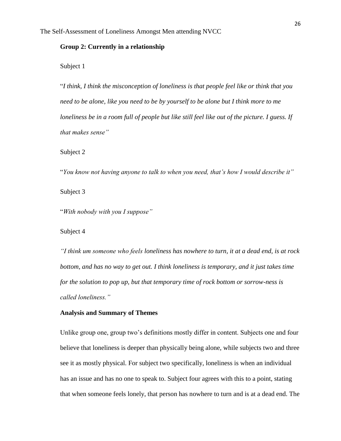### **Group 2: Currently in a relationship**

Subject 1

"*I think, I think the misconception of loneliness is that people feel like or think that you need to be alone, like you need to be by yourself to be alone but I think more to me loneliness be in a room full of people but like still feel like out of the picture. I guess. If that makes sense"*

Subject 2

"*You know not having anyone to talk to when you need, that's how I would describe it"* Subject 3

"*With nobody with you I suppose"*

Subject 4

*"I think um someone who feels loneliness has nowhere to turn, it at a dead end, is at rock bottom, and has no way to get out. I think loneliness is temporary, and it just takes time for the solution to pop up, but that temporary time of rock bottom or sorrow-ness is called loneliness."*

## **Analysis and Summary of Themes**

Unlike group one, group two's definitions mostly differ in content. Subjects one and four believe that loneliness is deeper than physically being alone, while subjects two and three see it as mostly physical. For subject two specifically, loneliness is when an individual has an issue and has no one to speak to. Subject four agrees with this to a point, stating that when someone feels lonely, that person has nowhere to turn and is at a dead end. The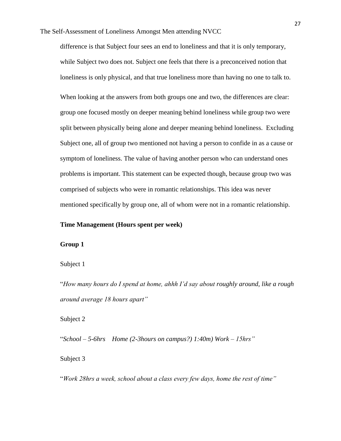difference is that Subject four sees an end to loneliness and that it is only temporary, while Subject two does not. Subject one feels that there is a preconceived notion that loneliness is only physical, and that true loneliness more than having no one to talk to.

When looking at the answers from both groups one and two, the differences are clear: group one focused mostly on deeper meaning behind loneliness while group two were split between physically being alone and deeper meaning behind loneliness. Excluding Subject one, all of group two mentioned not having a person to confide in as a cause or symptom of loneliness. The value of having another person who can understand ones problems is important. This statement can be expected though, because group two was comprised of subjects who were in romantic relationships. This idea was never mentioned specifically by group one, all of whom were not in a romantic relationship.

## **Time Management (Hours spent per week)**

#### **Group 1**

Subject 1

"*How many hours do I spend at home, ahhh I'd say about roughly around, like a rough around average 18 hours apart"*

Subject 2

"*School – 5-6hrs Home (2-3hours on campus?) 1:40m) Work – 15hrs"*

Subject 3

"*Work 28hrs a week, school about a class every few days, home the rest of time"*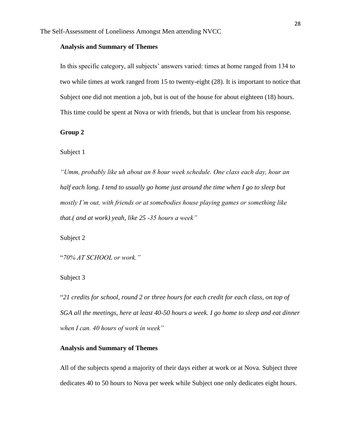## **Analysis and Summary of Themes**

In this specific category, all subjects' answers varied: times at home ranged from 134 to two while times at work ranged from 15 to twenty-eight (28). It is important to notice that Subject one did not mention a job, but is out of the house for about eighteen (18) hours. This time could be spent at Nova or with friends, but that is unclear from his response.

**Group 2**

Subject 1

*"Umm, probably like uh about an 8 hour week schedule. One class each day, hour an half each long. I tend to usually go home just around the time when I go to sleep but mostly I'm out, with friends or at somebodies house playing games or something like that.( and at work) yeah, like 25 -35 hours a week"*

Subject 2

"*70% AT SCHOOL or work."*

Subject 3

"*21 credits for school, round 2 or three hours for each credit for each class, on top of SGA all the meetings, here at least 40-50 hours a week. I go home to sleep and eat dinner when I can. 40 hours of work in week"*

## **Analysis and Summary of Themes**

All of the subjects spend a majority of their days either at work or at Nova. Subject three dedicates 40 to 50 hours to Nova per week while Subject one only dedicates eight hours.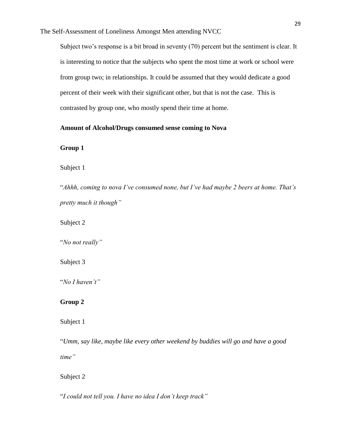The Self-Assessment of Loneliness Amongst Men attending NVCC

Subject two's response is a bit broad in seventy (70) percent but the sentiment is clear. It is interesting to notice that the subjects who spent the most time at work or school were from group two; in relationships. It could be assumed that they would dedicate a good percent of their week with their significant other, but that is not the case. This is contrasted by group one, who mostly spend their time at home.

#### **Amount of Alcohol/Drugs consumed sense coming to Nova**

**Group 1**

Subject 1

"*Ahhh, coming to nova I've consumed none, but I've had maybe 2 beers at home. That's pretty much it though"*

Subject 2

"*No not really"*

Subject 3

"*No I haven't"*

## **Group 2**

Subject 1

"*Umm, say like, maybe like every other weekend by buddies will go and have a good time"*

Subject 2

"*I could not tell you. I have no idea I don't keep track"*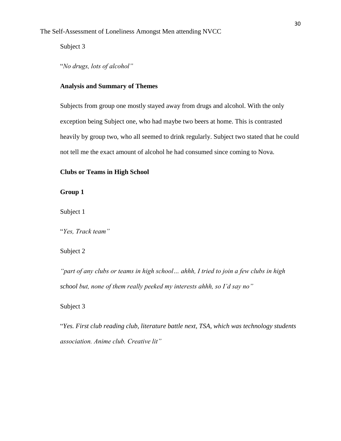Subject 3

"*No drugs, lots of alcohol"*

## **Analysis and Summary of Themes**

Subjects from group one mostly stayed away from drugs and alcohol. With the only exception being Subject one, who had maybe two beers at home. This is contrasted heavily by group two, who all seemed to drink regularly. Subject two stated that he could not tell me the exact amount of alcohol he had consumed since coming to Nova.

## **Clubs or Teams in High School**

**Group 1**

Subject 1

"*Yes, Track team"*

## Subject 2

*"part of any clubs or teams in high school… ahhh, I tried to join a few clubs in high school but, none of them really peeked my interests ahhh, so I'd say no"*

## Subject 3

"*Yes. First club reading club, literature battle next, TSA, which was technology students association. Anime club. Creative lit"*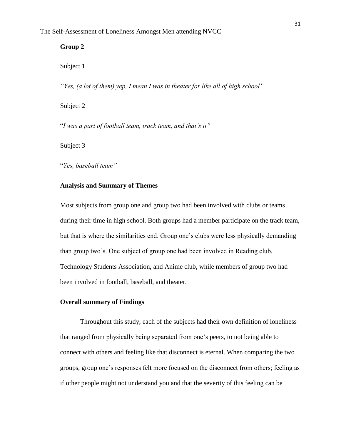## **Group 2**

Subject 1

*"Yes, (a lot of them) yep, I mean I was in theater for like all of high school"*

Subject 2

"*I was a part of football team, track team, and that's it"*

Subject 3

"*Yes, baseball team"*

#### **Analysis and Summary of Themes**

Most subjects from group one and group two had been involved with clubs or teams during their time in high school. Both groups had a member participate on the track team, but that is where the similarities end. Group one's clubs were less physically demanding than group two's. One subject of group one had been involved in Reading club, Technology Students Association, and Anime club, while members of group two had been involved in football, baseball, and theater.

#### **Overall summary of Findings**

Throughout this study, each of the subjects had their own definition of loneliness that ranged from physically being separated from one's peers, to not being able to connect with others and feeling like that disconnect is eternal. When comparing the two groups, group one's responses felt more focused on the disconnect from others; feeling as if other people might not understand you and that the severity of this feeling can be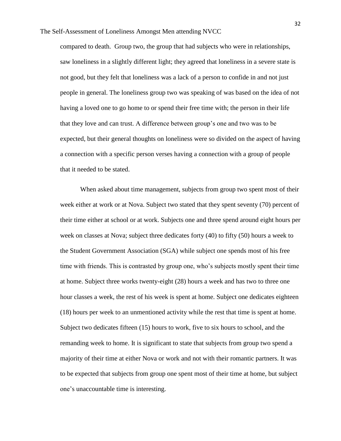compared to death. Group two, the group that had subjects who were in relationships, saw loneliness in a slightly different light; they agreed that loneliness in a severe state is not good, but they felt that loneliness was a lack of a person to confide in and not just people in general. The loneliness group two was speaking of was based on the idea of not having a loved one to go home to or spend their free time with; the person in their life that they love and can trust. A difference between group's one and two was to be expected, but their general thoughts on loneliness were so divided on the aspect of having a connection with a specific person verses having a connection with a group of people that it needed to be stated.

When asked about time management, subjects from group two spent most of their week either at work or at Nova. Subject two stated that they spent seventy (70) percent of their time either at school or at work. Subjects one and three spend around eight hours per week on classes at Nova; subject three dedicates forty (40) to fifty (50) hours a week to the Student Government Association (SGA) while subject one spends most of his free time with friends. This is contrasted by group one, who's subjects mostly spent their time at home. Subject three works twenty-eight (28) hours a week and has two to three one hour classes a week, the rest of his week is spent at home. Subject one dedicates eighteen (18) hours per week to an unmentioned activity while the rest that time is spent at home. Subject two dedicates fifteen (15) hours to work, five to six hours to school, and the remanding week to home. It is significant to state that subjects from group two spend a majority of their time at either Nova or work and not with their romantic partners. It was to be expected that subjects from group one spent most of their time at home, but subject one's unaccountable time is interesting.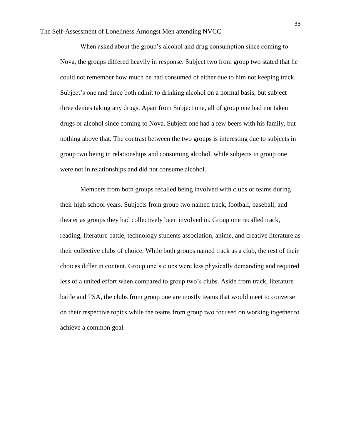The Self-Assessment of Loneliness Amongst Men attending NVCC

When asked about the group's alcohol and drug consumption since coming to Nova, the groups differed heavily in response. Subject two from group two stated that he could not remember how much he had consumed of either due to him not keeping track. Subject's one and three both admit to drinking alcohol on a normal basis, but subject three denies taking any drugs. Apart from Subject one, all of group one had not taken drugs or alcohol since coming to Nova. Subject one had a few beers with his family, but nothing above that. The contrast between the two groups is interesting due to subjects in group two being in relationships and consuming alcohol, while subjects in group one were not in relationships and did not consume alcohol.

Members from both groups recalled being involved with clubs or teams during their high school years. Subjects from group two named track, football, baseball, and theater as groups they had collectively been involved in. Group one recalled track, reading, literature battle, technology students association, anime, and creative literature as their collective clubs of choice. While both groups named track as a club, the rest of their choices differ in content. Group one's clubs were less physically demanding and required less of a united effort when compared to group two's clubs. Aside from track, literature battle and TSA, the clubs from group one are mostly teams that would meet to converse on their respective topics while the teams from group two focused on working together to achieve a common goal.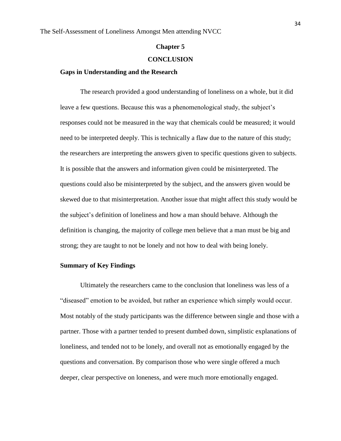#### **Chapter 5**

#### **CONCLUSION**

#### **Gaps in Understanding and the Research**

The research provided a good understanding of loneliness on a whole, but it did leave a few questions. Because this was a phenomenological study, the subject's responses could not be measured in the way that chemicals could be measured; it would need to be interpreted deeply. This is technically a flaw due to the nature of this study; the researchers are interpreting the answers given to specific questions given to subjects. It is possible that the answers and information given could be misinterpreted. The questions could also be misinterpreted by the subject, and the answers given would be skewed due to that misinterpretation. Another issue that might affect this study would be the subject's definition of loneliness and how a man should behave. Although the definition is changing, the majority of college men believe that a man must be big and strong; they are taught to not be lonely and not how to deal with being lonely.

#### **Summary of Key Findings**

Ultimately the researchers came to the conclusion that loneliness was less of a "diseased" emotion to be avoided, but rather an experience which simply would occur. Most notably of the study participants was the difference between single and those with a partner. Those with a partner tended to present dumbed down, simplistic explanations of loneliness, and tended not to be lonely, and overall not as emotionally engaged by the questions and conversation. By comparison those who were single offered a much deeper, clear perspective on loneness, and were much more emotionally engaged.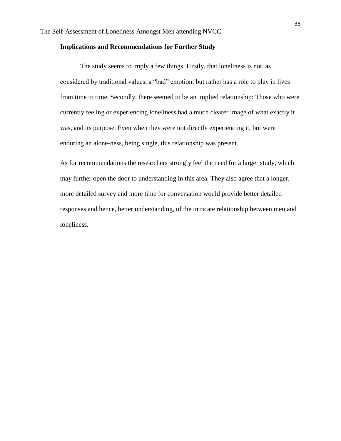#### **Implications and Recommendations for Further Study**

The study seems to imply a few things. Firstly, that loneliness is not, as considered by traditional values, a "bad" emotion, but rather has a role to play in lives from time to time. Secondly, there seemed to be an implied relationship: Those who were currently feeling or experiencing loneliness had a much clearer image of what exactly it was, and its purpose. Even when they were not directly experiencing it, but were enduring an alone-ness, being single, this relationship was present.

As for recommendations the researchers strongly feel the need for a larger study, which may further open the door to understanding in this area. They also agree that a longer, more detailed survey and more time for conversation would provide better detailed responses and hence, better understanding, of the intricate relationship between men and loneliness.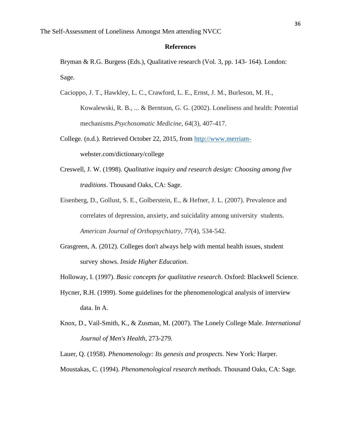#### **References**

Bryman & R.G. Burgess (Eds.), Qualitative research (Vol. 3, pp. 143- 164). London: Sage.

Cacioppo, J. T., Hawkley, L. C., Crawford, L. E., Ernst, J. M., Burleson, M. H.,

Kowalewski, R. B., ... & Berntson, G. G. (2002). Loneliness and health: Potential mechanisms.*Psychosomatic Medicine*, *64*(3), 407-417.

- College. (n.d.). Retrieved October 22, 2015, from [http://www.merriam](http://www.merriam-/)webster.com/dictionary/college
- Creswell, J. W. (1998). *Qualitative inquiry and research design: Choosing among five traditions*. Thousand Oaks, CA: Sage.
- Eisenberg, D., Gollust, S. E., Golberstein, E., & Hefner, J. L. (2007). Prevalence and correlates of depression, anxiety, and suicidality among university students. *American Journal of Orthopsychiatry*, *77*(4), 534-542.
- Grasgreen, A. (2012). Colleges don't always help with mental health issues, student survey shows. *Inside Higher Education*.
- Holloway, I. (1997). *Basic concepts for qualitative research*. Oxford: Blackwell Science.
- Hycner, R.H. (1999). Some guidelines for the phenomenological analysis of interview data. In A.
- Knox, D., Vail-Smith, K., & Zusman, M. (2007). The Lonely College Male. *International Journal of Men's Health,* 273-279.

Lauer, Q. (1958). *Phenomenology: Its genesis and prospects*. New York: Harper.

Moustakas, C. (1994). *Phenomenological research methods*. Thousand Oaks, CA: Sage.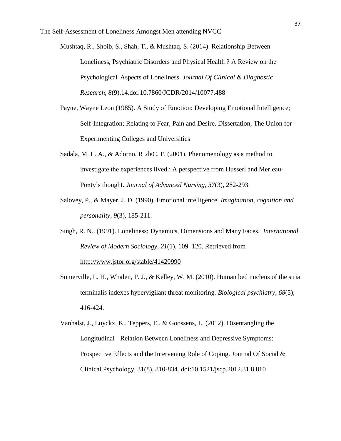The Self-Assessment of Loneliness Amongst Men attending NVCC

Mushtaq, R., Shoib, S., Shah, T., & Mushtaq, S. (2014). Relationship Between Loneliness, Psychiatric Disorders and Physical Health ? A Review on the Psychological Aspects of Loneliness. *Journal Of Clinical & Diagnostic Research*, *8*(9),14.doi:10.7860/JCDR/2014/10077.488

- Payne, Wayne Leon (1985). A Study of Emotion: Developing Emotional Intelligence; Self-Integration; Relating to Fear, Pain and Desire. Dissertation, The Union for Experimenting Colleges and Universities
- Sadala, M. L. A., & Adorno, R .deC. F. (2001). Phenomenology as a method to investigate the experiences lived.: A perspective from Husserl and Merleau-Ponty's thought. *Journal of Advanced Nursing, 37*(3), 282-293
- Salovey, P., & Mayer, J. D. (1990). Emotional intelligence. *Imagination, cognition and personality*, *9*(3), 185-211.
- Singh, R. N.. (1991). Loneliness: Dynamics, Dimensions and Many Faces. *International Review of Modern Sociology*, *21*(1), 109–120. Retrieved from <http://www.jstor.org/stable/41420990>
- Somerville, L. H., Whalen, P. J., & Kelley, W. M. (2010). Human bed nucleus of the stria terminalis indexes hypervigilant threat monitoring. *Biological psychiatry*, *68*(5), 416-424.
- Vanhalst, J., Luyckx, K., Teppers, E., & Goossens, L. (2012). Disentangling the Longitudinal Relation Between Loneliness and Depressive Symptoms: Prospective Effects and the Intervening Role of Coping. Journal Of Social & Clinical Psychology, 31(8), 810-834. doi:10.1521/jscp.2012.31.8.810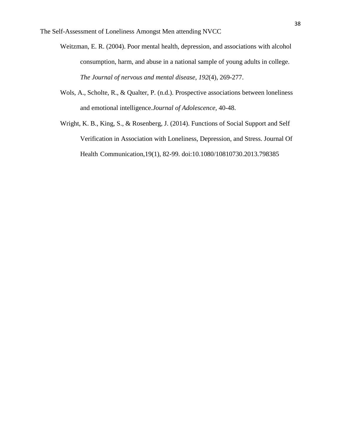- Weitzman, E. R. (2004). Poor mental health, depression, and associations with alcohol consumption, harm, and abuse in a national sample of young adults in college. *The Journal of nervous and mental disease*, *192*(4), 269-277.
- Wols, A., Scholte, R., & Qualter, P. (n.d.). Prospective associations between loneliness and emotional intelligence.*Journal of Adolescence,* 40-48.
- Wright, K. B., King, S., & Rosenberg, J. (2014). Functions of Social Support and Self Verification in Association with Loneliness, Depression, and Stress. Journal Of Health Communication,19(1), 82-99. doi:10.1080/10810730.2013.798385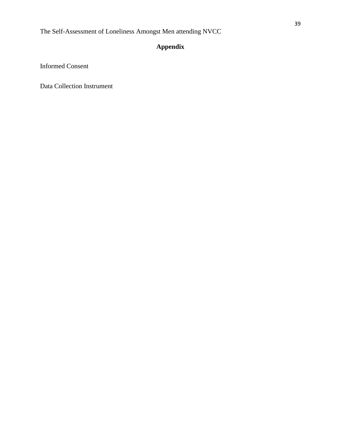## **Appendix**

Informed Consent

Data Collection Instrument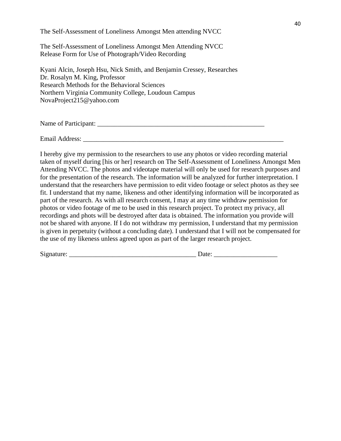The Self-Assessment of Loneliness Amongst Men attending NVCC

The Self-Assessment of Loneliness Amongst Men Attending NVCC Release Form for Use of Photograph/Video Recording

Kyani Alcin, Joseph Hsu, Nick Smith, and Benjamin Cressey, Researches Dr. Rosalyn M. King, Professor Research Methods for the Behavioral Sciences Northern Virginia Community College, Loudoun Campus NovaProject215@yahoo.com

Name of Participant: \_\_\_\_\_\_\_\_\_\_\_\_\_\_\_\_\_\_\_\_\_\_\_\_\_\_\_\_\_\_\_\_\_\_\_\_\_\_\_\_\_\_\_\_\_\_\_\_\_\_

Email Address: \_\_\_\_\_\_\_\_\_\_\_\_\_\_\_\_\_\_\_\_\_\_\_\_\_\_\_\_\_\_\_\_\_\_\_\_\_\_\_\_\_\_\_\_\_\_\_\_\_\_\_\_\_\_\_\_\_\_\_\_

I hereby give my permission to the researchers to use any photos or video recording material taken of myself during [his or her] research on The Self-Assessment of Loneliness Amongst Men Attending NVCC. The photos and videotape material will only be used for research purposes and for the presentation of the research. The information will be analyzed for further interpretation. I understand that the researchers have permission to edit video footage or select photos as they see fit. I understand that my name, likeness and other identifying information will be incorporated as part of the research. As with all research consent, I may at any time withdraw permission for photos or video footage of me to be used in this research project. To protect my privacy, all recordings and phots will be destroyed after data is obtained. The information you provide will not be shared with anyone. If I do not withdraw my permission, I understand that my permission is given in perpetuity (without a concluding date). I understand that I will not be compensated for the use of my likeness unless agreed upon as part of the larger research project.

Signature: \_\_\_\_\_\_\_\_\_\_\_\_\_\_\_\_\_\_\_\_\_\_\_\_\_\_\_\_\_\_\_\_\_\_\_\_\_\_ Date: \_\_\_\_\_\_\_\_\_\_\_\_\_\_\_\_\_\_\_